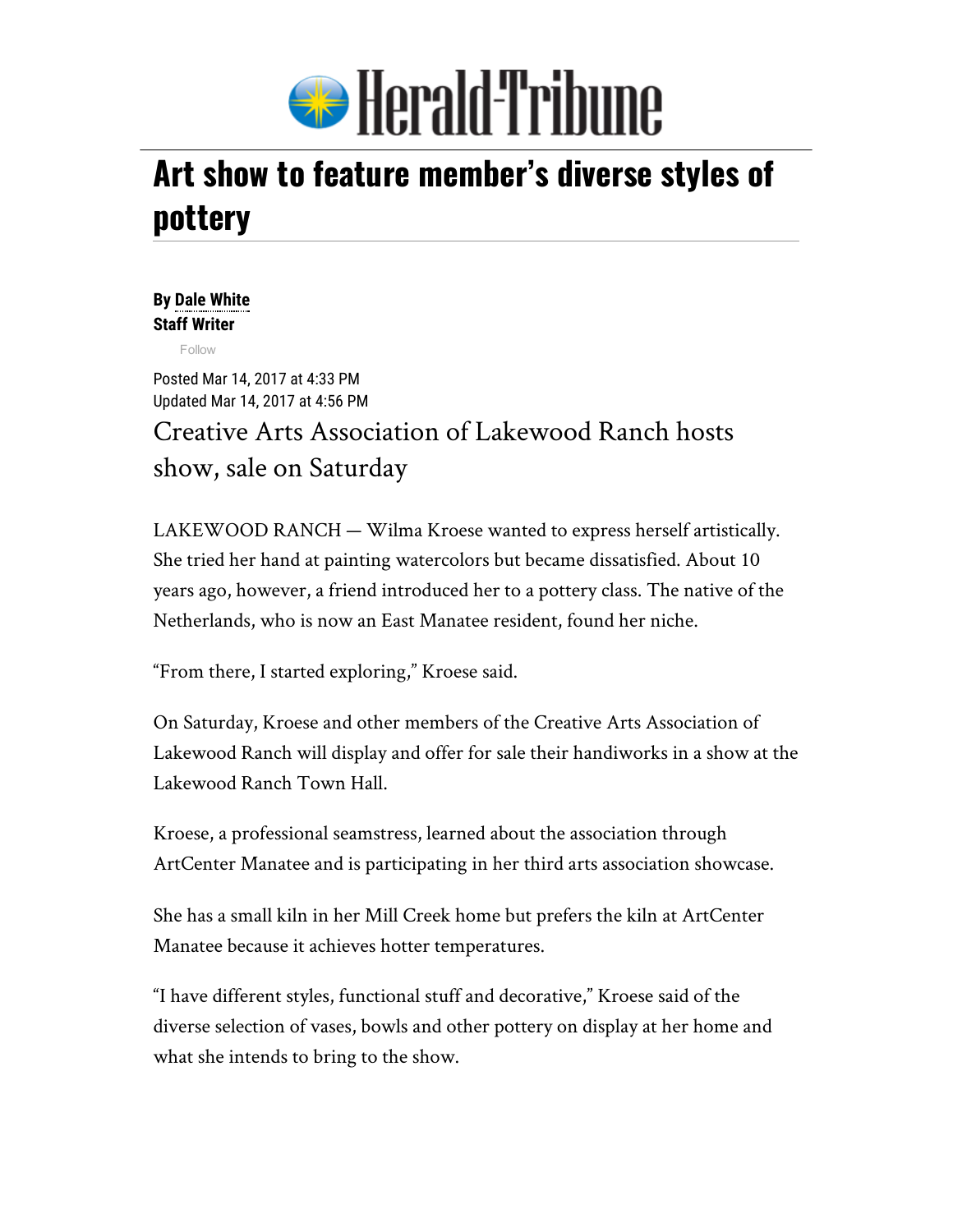

## Art show to feature member's diverse styles of pottery

## By Dale [White](mailto:dale.white@heraldtribune.com) Staff Writer

[Follow](https://twitter.com/intent/follow?original_referer=http%3A%2F%2Fwww.heraldtribune.com%2Fnews%2F20170314%2Fart-show-to-feature-members-diverse-styles-of-pottery&ref_src=twsrc%5Etfw®ion=follow_link&screen_name=dalewhiteHT&tw_p=followbutton)

Posted Mar 14, 2017 at 4:33 PM Updated Mar 14, 2017 at 4:56 PM Creative Arts Association of Lakewood Ranch hosts show, sale on Saturday

LAKEWOOD RANCH — Wilma Kroese wanted to express herself artistically. She tried her hand at painting watercolors but became dissatisfied. About 10 years ago, however, a friend introduced her to a pottery class. The native of the Netherlands, who is now an East Manatee resident, found her niche.

"From there, I started exploring," Kroese said.

On Saturday, Kroese and other members of the Creative Arts Association of Lakewood Ranch will display and offer for sale their handiworks in a show at the Lakewood Ranch Town Hall.

Kroese, a professional seamstress, learned about the association through ArtCenter Manatee and is participating in her third arts association showcase.

She has a small kiln in her Mill Creek home but prefers the kiln at ArtCenter Manatee because it achieves hotter temperatures.

"I have different styles, functional stuff and decorative," Kroese said of the diverse selection of vases, bowls and other pottery on display at her home and what she intends to bring to the show.